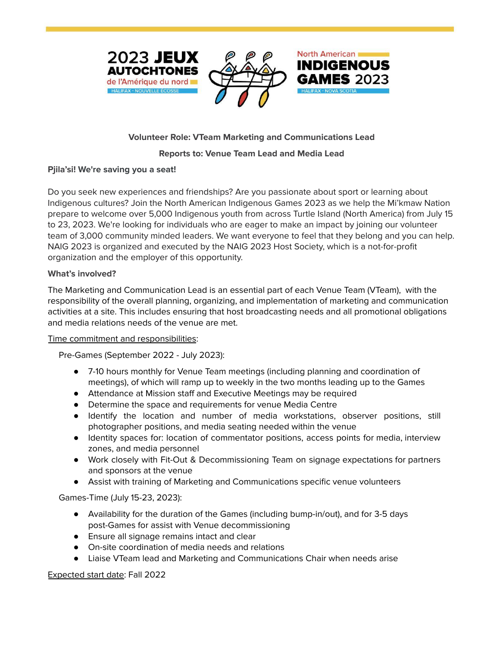



North American

**INDIGENOUS** 

# **Volunteer Role: VTeam Marketing and Communications Lead**

## **Reports to: Venue Team Lead and Media Lead**

## **Pjila'si! We're saving you a seat!**

Do you seek new experiences and friendships? Are you passionate about sport or learning about Indigenous cultures? Join the North American Indigenous Games 2023 as we help the Mi'kmaw Nation prepare to welcome over 5,000 Indigenous youth from across Turtle Island (North America) from July 15 to 23, 2023. We're looking for individuals who are eager to make an impact by joining our volunteer team of 3,000 community minded leaders. We want everyone to feel that they belong and you can help. NAIG 2023 is organized and executed by the NAIG 2023 Host Society, which is a not-for-profit organization and the employer of this opportunity.

## **What's involved?**

The Marketing and Communication Lead is an essential part of each Venue Team (VTeam), with the responsibility of the overall planning, organizing, and implementation of marketing and communication activities at a site. This includes ensuring that host broadcasting needs and all promotional obligations and media relations needs of the venue are met.

#### Time commitment and responsibilities:

Pre-Games (September 2022 - July 2023):

- 7-10 hours monthly for Venue Team meetings (including planning and coordination of meetings), of which will ramp up to weekly in the two months leading up to the Games
- Attendance at Mission staff and Executive Meetings may be required
- Determine the space and requirements for venue Media Centre
- Identify the location and number of media workstations, observer positions, still photographer positions, and media seating needed within the venue
- Identity spaces for: location of commentator positions, access points for media, interview zones, and media personnel
- Work closely with Fit-Out & Decommissioning Team on signage expectations for partners and sponsors at the venue
- Assist with training of Marketing and Communications specific venue volunteers

Games-Time (July 15-23, 2023):

- Availability for the duration of the Games (including bump-in/out), and for 3-5 days post-Games for assist with Venue decommissioning
- Ensure all signage remains intact and clear
- On-site coordination of media needs and relations
- Liaise VTeam lead and Marketing and Communications Chair when needs arise

## Expected start date: Fall 2022